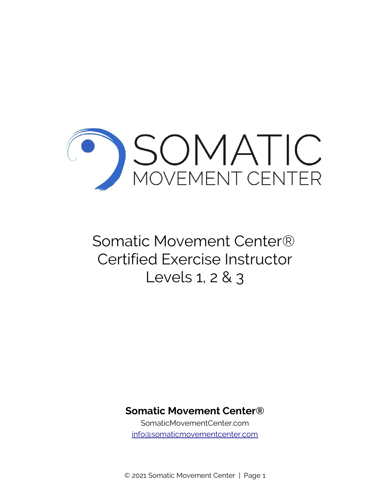

# Somatic Movement Center® Certified Exercise Instructor Levels 1, 2 & 3

# **Somatic Movement Center®**

SomaticMovementCenter.com [info@somaticmovementcenter.com](mailto:info@somaticmovementcenter.com)

© 2021 Somatic Movement Center | Page 1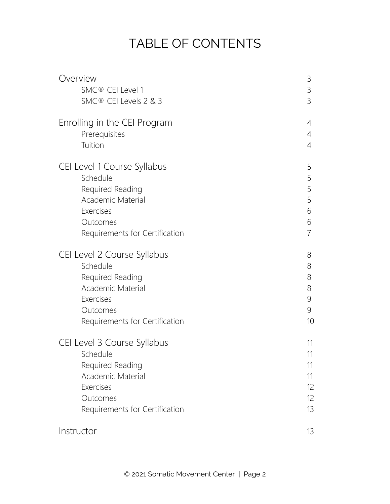# TABLE OF CONTENTS

| Overview                       | 3              |
|--------------------------------|----------------|
| SMC® CEI Level 1               | $\mathcal{S}$  |
| SMC® CEI Levels 2 & 3          | 3              |
| Enrolling in the CEI Program   | 4              |
| Prerequisites                  | 4              |
| Tuition                        | $\overline{4}$ |
| CEI Level 1 Course Syllabus    | 5              |
| Schedule                       | 5              |
| Required Reading               | 5              |
| Academic Material              | 5              |
| Exercises                      | 6              |
| Outcomes                       | 6              |
| Requirements for Certification | $\overline{7}$ |
| CEI Level 2 Course Syllabus    | 8              |
| Schedule                       | 8              |
| Required Reading               | 8              |
| Academic Material              | 8              |
| Exercises                      | 9              |
| Outcomes                       | 9              |
| Requirements for Certification | 10             |
| CEI Level 3 Course Syllabus    | 11             |
| Schedule                       | 11             |
| Required Reading               | 11             |
| Academic Material              | 11             |
| Exercises                      | 12             |
| Outcomes                       | 12             |
| Requirements for Certification | 13             |
| Instructor                     | 13             |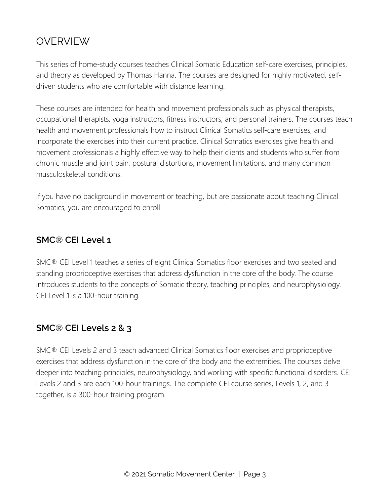# OVERVIEW

This series of home-study courses teaches Clinical Somatic Education self-care exercises, principles, and theory as developed by Thomas Hanna. The courses are designed for highly motivated, selfdriven students who are comfortable with distance learning.

These courses are intended for health and movement professionals such as physical therapists, occupational therapists, yoga instructors, fitness instructors, and personal trainers. The courses teach health and movement professionals how to instruct Clinical Somatics self-care exercises, and incorporate the exercises into their current practice. Clinical Somatics exercises give health and movement professionals a highly effective way to help their clients and students who suffer from chronic muscle and joint pain, postural distortions, movement limitations, and many common musculoskeletal conditions.

If you have no background in movement or teaching, but are passionate about teaching Clinical Somatics, you are encouraged to enroll.

#### **SMC® CEI Level 1**

SMC® CEI Level 1 teaches a series of eight Clinical Somatics floor exercises and two seated and standing proprioceptive exercises that address dysfunction in the core of the body. The course introduces students to the concepts of Somatic theory, teaching principles, and neurophysiology. CEI Level 1 is a 100-hour training.

#### **SMC® CEI Levels 2 & 3**

SMC® CEI Levels 2 and 3 teach advanced Clinical Somatics floor exercises and proprioceptive exercises that address dysfunction in the core of the body and the extremities. The courses delve deeper into teaching principles, neurophysiology, and working with specific functional disorders. CEI Levels 2 and 3 are each 100-hour trainings. The complete CEI course series, Levels 1, 2, and 3 together, is a 300-hour training program.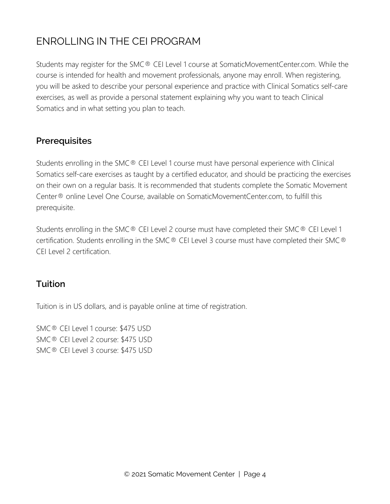# ENROLLING IN THE CEI PROGRAM

Students may register for the SMC® CEI Level 1 course at SomaticMovementCenter.com. While the course is intended for health and movement professionals, anyone may enroll. When registering, you will be asked to describe your personal experience and practice with Clinical Somatics self-care exercises, as well as provide a personal statement explaining why you want to teach Clinical Somatics and in what setting you plan to teach.

#### **Prerequisites**

Students enrolling in the SMC® CEI Level 1 course must have personal experience with Clinical Somatics self-care exercises as taught by a certified educator, and should be practicing the exercises on their own on a regular basis. It is recommended that students complete the Somatic Movement Center® online Level One Course, available on SomaticMovementCenter.com, to fulfill this prerequisite.

Students enrolling in the SMC® CEI Level 2 course must have completed their SMC® CEI Level 1 certification. Students enrolling in the SMC® CEI Level 3 course must have completed their SMC® CEI Level 2 certification.

#### **Tuition**

Tuition is in US dollars, and is payable online at time of registration.

SMC® CEI Level 1 course: \$475 USD SMC® CEI Level 2 course: \$475 USD SMC® CEI Level 3 course: \$475 USD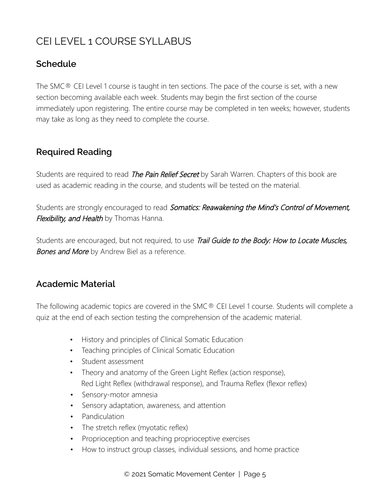# CEI LEVEL 1 COURSE SYLLABUS

#### **Schedule**

The SMC $<sup>®</sup>$  CEI Level 1 course is taught in ten sections. The pace of the course is set, with a new</sup> section becoming available each week. Students may begin the first section of the course immediately upon registering. The entire course may be completed in ten weeks; however, students may take as long as they need to complete the course.

#### **Required Reading**

Students are required to read *The Pain Relief Secret* by Sarah Warren. Chapters of this book are used as academic reading in the course, and students will be tested on the material.

Students are strongly encouraged to read Somatics: Reawakening the Mind's Control of Movement, Flexibility, and Health by Thomas Hanna.

Students are encouraged, but not required, to use Trail Guide to the Body: How to Locate Muscles, Bones and More by Andrew Biel as a reference.

#### **Academic Material**

The following academic topics are covered in the SMC® CEI Level 1 course. Students will complete a quiz at the end of each section testing the comprehension of the academic material.

- History and principles of Clinical Somatic Education
- Teaching principles of Clinical Somatic Education
- Student assessment
- Theory and anatomy of the Green Light Reflex (action response), Red Light Reflex (withdrawal response), and Trauma Reflex (flexor reflex)
- Sensory-motor amnesia
- Sensory adaptation, awareness, and attention
- Pandiculation
- The stretch reflex (myotatic reflex)
- Proprioception and teaching proprioceptive exercises
- How to instruct group classes, individual sessions, and home practice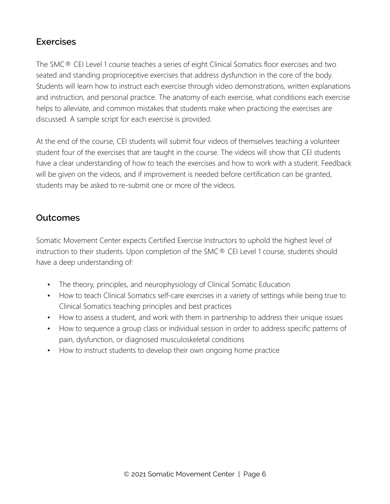#### **Exercises**

The SMC<sup>®</sup> CEI Level 1 course teaches a series of eight Clinical Somatics floor exercises and two seated and standing proprioceptive exercises that address dysfunction in the core of the body. Students will learn how to instruct each exercise through video demonstrations, written explanations and instruction, and personal practice. The anatomy of each exercise, what conditions each exercise helps to alleviate, and common mistakes that students make when practicing the exercises are discussed. A sample script for each exercise is provided.

At the end of the course, CEI students will submit four videos of themselves teaching a volunteer student four of the exercises that are taught in the course. The videos will show that CEI students have a clear understanding of how to teach the exercises and how to work with a student. Feedback will be given on the videos, and if improvement is needed before certification can be granted, students may be asked to re-submit one or more of the videos.

### **Outcomes**

Somatic Movement Center expects Certified Exercise Instructors to uphold the highest level of instruction to their students. Upon completion of the SMC® CEI Level 1 course, students should have a deep understanding of:

- The theory, principles, and neurophysiology of Clinical Somatic Education
- How to teach Clinical Somatics self-care exercises in a variety of settings while being true to Clinical Somatics teaching principles and best practices
- How to assess a student, and work with them in partnership to address their unique issues
- How to sequence a group class or individual session in order to address specific patterns of pain, dysfunction, or diagnosed musculoskeletal conditions
- How to instruct students to develop their own ongoing home practice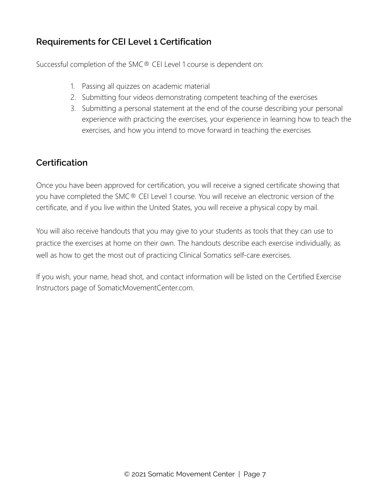## **Requirements for CEI Level 1 Certification**

Successful completion of the SMC® CEI Level 1 course is dependent on:

- 1. Passing all quizzes on academic material
- 2. Submitting four videos demonstrating competent teaching of the exercises
- 3. Submitting a personal statement at the end of the course describing your personal experience with practicing the exercises, your experience in learning how to teach the exercises, and how you intend to move forward in teaching the exercises

### **Certification**

Once you have been approved for certification, you will receive a signed certificate showing that you have completed the SMC® CEI Level 1 course. You will receive an electronic version of the certificate, and if you live within the United States, you will receive a physical copy by mail.

You will also receive handouts that you may give to your students as tools that they can use to practice the exercises at home on their own. The handouts describe each exercise individually, as well as how to get the most out of practicing Clinical Somatics self-care exercises.

If you wish, your name, head shot, and contact information will be listed on the Certified Exercise Instructors page of SomaticMovementCenter.com.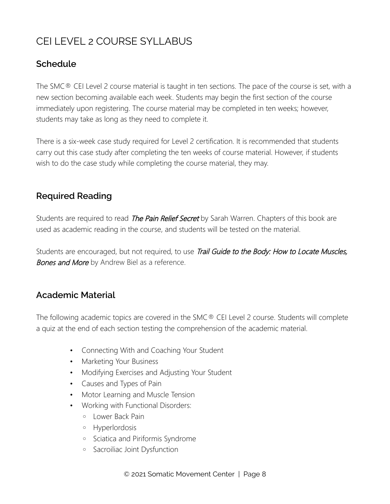# CEI LEVEL 2 COURSE SYLLABUS

#### **Schedule**

The SMC® CEI Level 2 course material is taught in ten sections. The pace of the course is set, with a new section becoming available each week. Students may begin the first section of the course immediately upon registering. The course material may be completed in ten weeks; however, students may take as long as they need to complete it.

There is a six-week case study required for Level 2 certification. It is recommended that students carry out this case study after completing the ten weeks of course material. However, if students wish to do the case study while completing the course material, they may.

### **Required Reading**

Students are required to read *The Pain Relief Secret* by Sarah Warren. Chapters of this book are used as academic reading in the course, and students will be tested on the material.

Students are encouraged, but not required, to use Trail Guide to the Body: How to Locate Muscles, Bones and More by Andrew Biel as a reference.

#### **Academic Material**

The following academic topics are covered in the SMC® CEI Level 2 course. Students will complete a quiz at the end of each section testing the comprehension of the academic material.

- Connecting With and Coaching Your Student
- Marketing Your Business
- Modifying Exercises and Adjusting Your Student
- Causes and Types of Pain
- Motor Learning and Muscle Tension
- Working with Functional Disorders:
	- Lower Back Pain
	- Hyperlordosis
	- Sciatica and Piriformis Syndrome
	- Sacroiliac Joint Dysfunction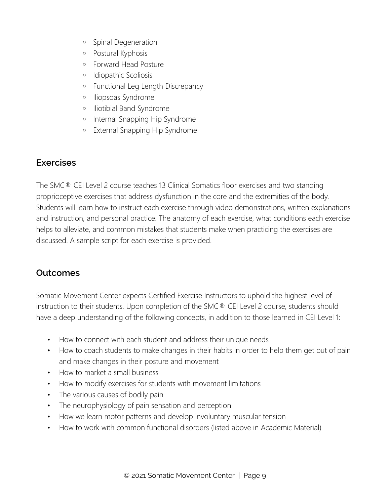- Spinal Degeneration
- Postural Kyphosis
- Forward Head Posture
- Idiopathic Scoliosis
- Functional Leg Length Discrepancy
- Iliopsoas Syndrome
- Iliotibial Band Syndrome
- Internal Snapping Hip Syndrome
- External Snapping Hip Syndrome

#### **Exercises**

The SMC<sup>®</sup> CEI Level 2 course teaches 13 Clinical Somatics floor exercises and two standing proprioceptive exercises that address dysfunction in the core and the extremities of the body. Students will learn how to instruct each exercise through video demonstrations, written explanations and instruction, and personal practice. The anatomy of each exercise, what conditions each exercise helps to alleviate, and common mistakes that students make when practicing the exercises are discussed. A sample script for each exercise is provided.

#### **Outcomes**

Somatic Movement Center expects Certified Exercise Instructors to uphold the highest level of instruction to their students. Upon completion of the SMC® CEI Level 2 course, students should have a deep understanding of the following concepts, in addition to those learned in CEI Level 1:

- How to connect with each student and address their unique needs
- How to coach students to make changes in their habits in order to help them get out of pain and make changes in their posture and movement
- How to market a small business
- How to modify exercises for students with movement limitations
- The various causes of bodily pain
- The neurophysiology of pain sensation and perception
- How we learn motor patterns and develop involuntary muscular tension
- How to work with common functional disorders (listed above in Academic Material)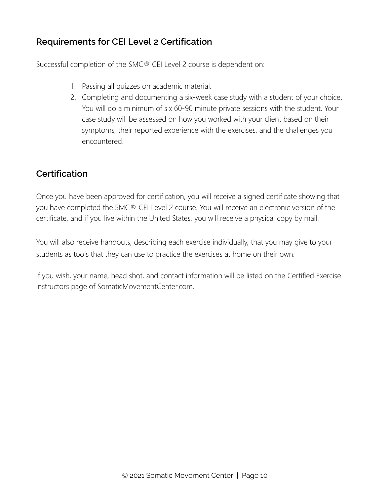### **Requirements for CEI Level 2 Certification**

Successful completion of the SMC® CEI Level 2 course is dependent on:

- 1. Passing all quizzes on academic material.
- 2. Completing and documenting a six-week case study with a student of your choice. You will do a minimum of six 60-90 minute private sessions with the student. Your case study will be assessed on how you worked with your client based on their symptoms, their reported experience with the exercises, and the challenges you encountered.

#### **Certification**

Once you have been approved for certification, you will receive a signed certificate showing that you have completed the SMC® CEI Level 2 course. You will receive an electronic version of the certificate, and if you live within the United States, you will receive a physical copy by mail.

You will also receive handouts, describing each exercise individually, that you may give to your students as tools that they can use to practice the exercises at home on their own.

If you wish, your name, head shot, and contact information will be listed on the Certified Exercise Instructors page of SomaticMovementCenter.com.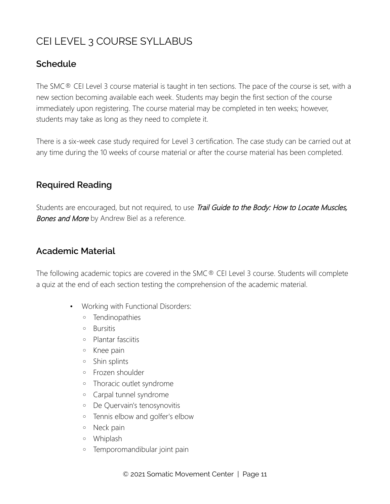# CEI LEVEL 3 COURSE SYLLABUS

#### **Schedule**

The SMC® CEI Level 3 course material is taught in ten sections. The pace of the course is set, with a new section becoming available each week. Students may begin the first section of the course immediately upon registering. The course material may be completed in ten weeks; however, students may take as long as they need to complete it.

There is a six-week case study required for Level 3 certification. The case study can be carried out at any time during the 10 weeks of course material or after the course material has been completed.

#### **Required Reading**

Students are encouraged, but not required, to use Trail Guide to the Body: How to Locate Muscles, Bones and More by Andrew Biel as a reference.

#### **Academic Material**

The following academic topics are covered in the SMC® CEI Level 3 course. Students will complete a quiz at the end of each section testing the comprehension of the academic material.

- Working with Functional Disorders:
	- Tendinopathies
	- Bursitis
	- Plantar fasciitis
	- Knee pain
	- Shin splints
	- Frozen shoulder
	- Thoracic outlet syndrome
	- Carpal tunnel syndrome
	- De Quervain's tenosynovitis
	- Tennis elbow and golfer's elbow
	- Neck pain
	- Whiplash
	- Temporomandibular joint pain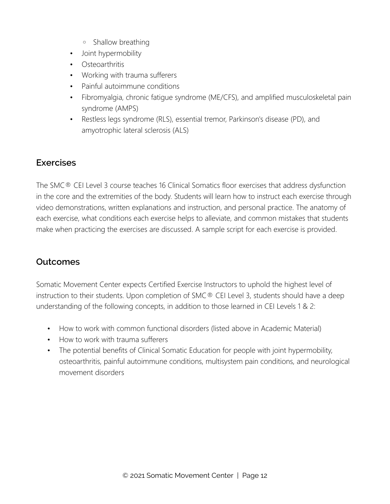- Shallow breathing
- Joint hypermobility
- Osteoarthritis
- Working with trauma sufferers
- Painful autoimmune conditions
- Fibromyalgia, chronic fatigue syndrome (ME/CFS), and amplified musculoskeletal pain syndrome (AMPS)
- Restless legs syndrome (RLS), essential tremor, Parkinson's disease (PD), and amyotrophic lateral sclerosis (ALS)

#### **Exercises**

The SMC<sup>®</sup> CEI Level 3 course teaches 16 Clinical Somatics floor exercises that address dysfunction in the core and the extremities of the body. Students will learn how to instruct each exercise through video demonstrations, written explanations and instruction, and personal practice. The anatomy of each exercise, what conditions each exercise helps to alleviate, and common mistakes that students make when practicing the exercises are discussed. A sample script for each exercise is provided.

# **Outcomes**

Somatic Movement Center expects Certified Exercise Instructors to uphold the highest level of instruction to their students. Upon completion of SMC® CEI Level 3, students should have a deep understanding of the following concepts, in addition to those learned in CEI Levels 1 & 2:

- How to work with common functional disorders (listed above in Academic Material)
- How to work with trauma sufferers
- The potential benefits of Clinical Somatic Education for people with joint hypermobility, osteoarthritis, painful autoimmune conditions, multisystem pain conditions, and neurological movement disorders